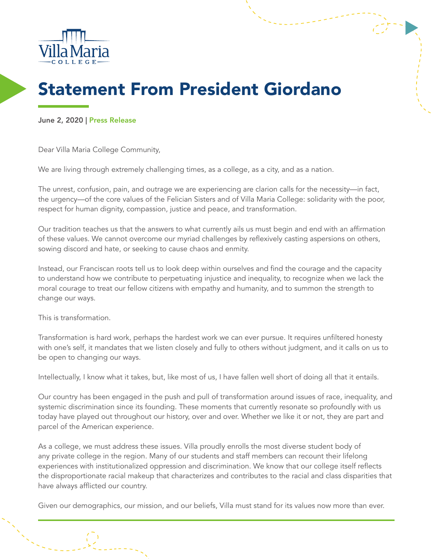

## Statement From President Giordano

June 2, 2020 | Press Release

Dear Villa Maria College Community,

We are living through extremely challenging times, as a college, as a city, and as a nation.

The unrest, confusion, pain, and outrage we are experiencing are clarion calls for the necessity—in fact, the urgency—of the core values of the Felician Sisters and of Villa Maria College: solidarity with the poor, respect for human dignity, compassion, justice and peace, and transformation.

Our tradition teaches us that the answers to what currently ails us must begin and end with an affirmation of these values. We cannot overcome our myriad challenges by reflexively casting aspersions on others, sowing discord and hate, or seeking to cause chaos and enmity.

Instead, our Franciscan roots tell us to look deep within ourselves and find the courage and the capacity to understand how we contribute to perpetuating injustice and inequality, to recognize when we lack the moral courage to treat our fellow citizens with empathy and humanity, and to summon the strength to change our ways.

This is transformation.

Transformation is hard work, perhaps the hardest work we can ever pursue. It requires unfiltered honesty with one's self, it mandates that we listen closely and fully to others without judgment, and it calls on us to be open to changing our ways.

Intellectually, I know what it takes, but, like most of us, I have fallen well short of doing all that it entails.

Our country has been engaged in the push and pull of transformation around issues of race, inequality, and systemic discrimination since its founding. These moments that currently resonate so profoundly with us today have played out throughout our history, over and over. Whether we like it or not, they are part and parcel of the American experience.

As a college, we must address these issues. Villa proudly enrolls the most diverse student body of any private college in the region. Many of our students and staff members can recount their lifelong experiences with institutionalized oppression and discrimination. We know that our college itself reflects the disproportionate racial makeup that characterizes and contributes to the racial and class disparities that have always afflicted our country.

Given our demographics, our mission, and our beliefs, Villa must stand for its values now more than ever.